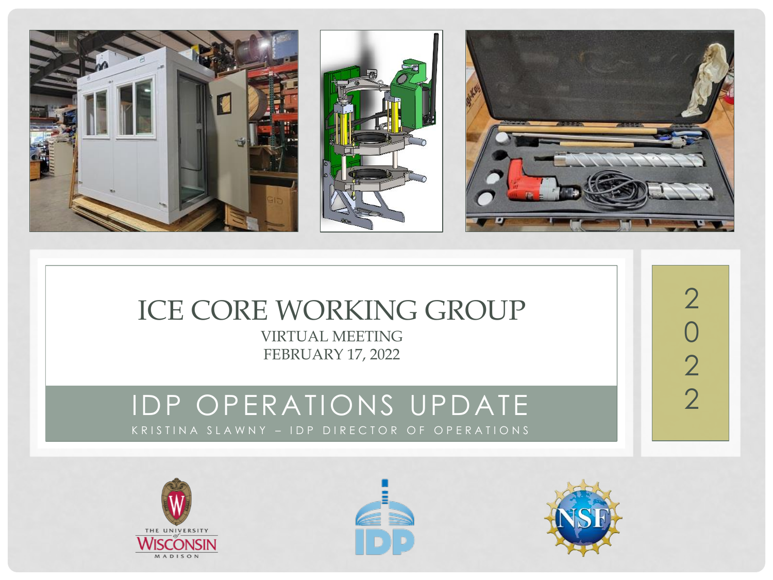

### ICE CORE WORKING GROUP

VIRTUAL MEETING FEBRUARY 17, 2022

#### IDP OPERATIONS UPDATE KRISTINA SLAWNY – IDP DIRECTOR OF OPERATIONS







2

0

22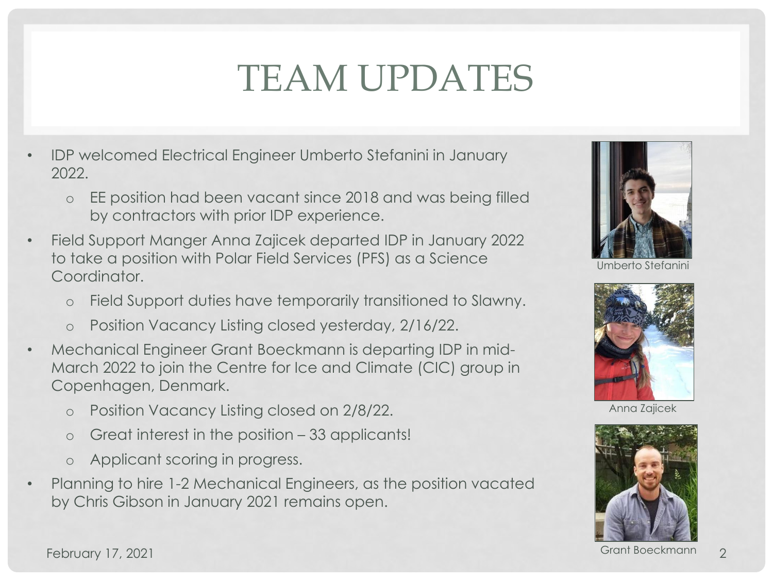## TEAM UPDATES

- IDP welcomed Electrical Engineer Umberto Stefanini in January 2022.
	- o EE position had been vacant since 2018 and was being filled by contractors with prior IDP experience.
- Field Support Manger Anna Zajicek departed IDP in January 2022 to take a position with Polar Field Services (PFS) as a Science Coordinator.
	- o Field Support duties have temporarily transitioned to Slawny.
	- o Position Vacancy Listing closed yesterday, 2/16/22.
- Mechanical Engineer Grant Boeckmann is departing IDP in mid-March 2022 to join the Centre for Ice and Climate (CIC) group in Copenhagen, Denmark.
	- o Position Vacancy Listing closed on 2/8/22.
	- o Great interest in the position 33 applicants!
	- o Applicant scoring in progress.
- Planning to hire 1-2 Mechanical Engineers, as the position vacated by Chris Gibson in January 2021 remains open.



Umberto Stefanini



Anna Zajicek



Grant Boeckmann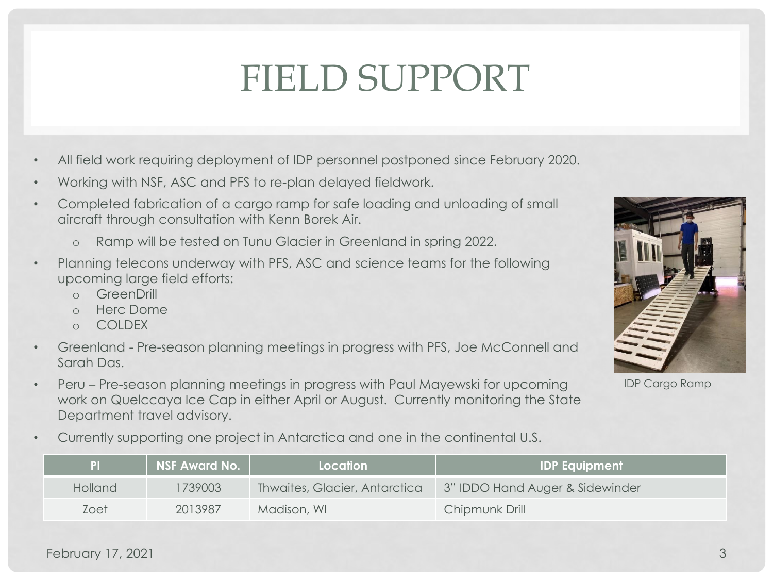### FIELD SUPPORT

- All field work requiring deployment of IDP personnel postponed since February 2020.
- Working with NSF, ASC and PFS to re-plan delayed fieldwork.
- Completed fabrication of a cargo ramp for safe loading and unloading of small aircraft through consultation with Kenn Borek Air.
	- o Ramp will be tested on Tunu Glacier in Greenland in spring 2022.
- Planning telecons underway with PFS, ASC and science teams for the following upcoming large field efforts:
	- o GreenDrill
	- o Herc Dome
	- o COLDEX
- Greenland Pre-season planning meetings in progress with PFS, Joe McConnell and Sarah Das.
- Peru Pre-season planning meetings in progress with Paul Mayewski for upcoming work on Quelccaya Ice Cap in either April or August. Currently monitoring the State Department travel advisory.
- Currently supporting one project in Antarctica and one in the continental U.S.





IDP Cargo Ramp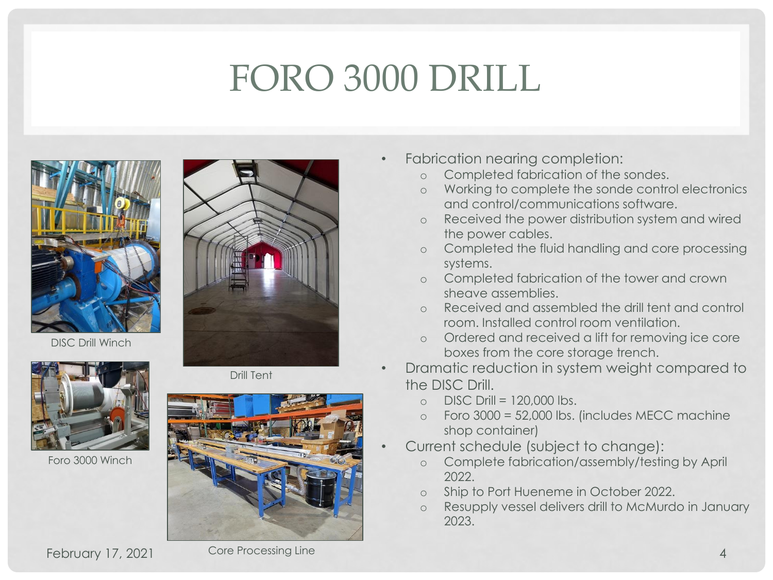## FORO 3000 DRILL





DISC Drill Winch



Foro 3000 Winch

Drill Tent



- Fabrication nearing completion:
	- o Completed fabrication of the sondes.
	- o Working to complete the sonde control electronics and control/communications software.
	- o Received the power distribution system and wired the power cables.
	- o Completed the fluid handling and core processing systems.
	- o Completed fabrication of the tower and crown sheave assemblies.
	- o Received and assembled the drill tent and control room. Installed control room ventilation.
	- o Ordered and received a lift for removing ice core boxes from the core storage trench.
- Dramatic reduction in system weight compared to the DISC Drill.
	- $O$  DISC Drill = 120,000 lbs.
	- $o$  Foro 3000 = 52,000 lbs. (includes MECC machine shop container)
- Current schedule (subject to change):
	- o Complete fabrication/assembly/testing by April 2022.
	- o Ship to Port Hueneme in October 2022.
	- o Resupply vessel delivers drill to McMurdo in January 2023.

February 17, 2021 Core Processing Line 2014 12:00:00 12:00:00 12:00:00 12:00:00 12:00:00 12:00:00 12:00:00 12:00:00 12:00:00 12:00:00 12:00:00 12:00:00 12:00:00 12:00:00 12:00:00 12:00:00 12:00:00 12:00:00 12:00:00 12:00:0

Core Processing Line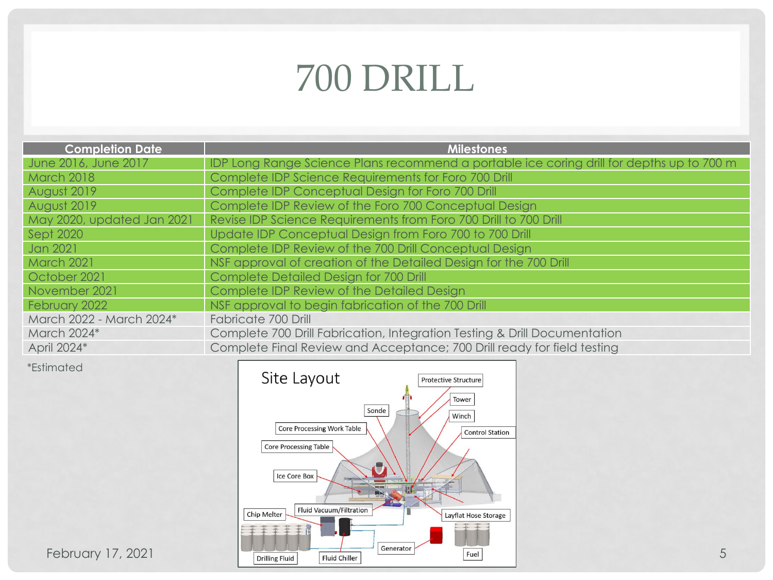## 700 DRILL

| <b>Completion Date</b>     | <b>Milestones</b>                                                                         |
|----------------------------|-------------------------------------------------------------------------------------------|
| June 2016, June 2017       | IDP Long Range Science Plans recommend a portable ice coring drill for depths up to 700 m |
| <b>March 2018</b>          | Complete IDP Science Requirements for Foro 700 Drill                                      |
| August 2019                | Complete IDP Conceptual Design for Foro 700 Drill                                         |
| August 2019                | Complete IDP Review of the Foro 700 Conceptual Design                                     |
| May 2020, updated Jan 2021 | Revise IDP Science Requirements from Foro 700 Drill to 700 Drill                          |
| Sept 2020                  | Update IDP Conceptual Design from Foro 700 to 700 Drill                                   |
| Jan 2021                   | Complete IDP Review of the 700 Drill Conceptual Design                                    |
| <b>March 2021</b>          | NSF approval of creation of the Detailed Design for the 700 Drill                         |
| October 2021               | Complete Detailed Design for 700 Drill                                                    |
| November 2021              | Complete IDP Review of the Detailed Design                                                |
| February 2022              | NSF approval to begin fabrication of the 700 Drill                                        |
| March 2022 - March 2024*   | Fabricate 700 Drill                                                                       |
| March 2024*                | Complete 700 Drill Fabrication, Integration Testing & Drill Documentation                 |
| April 2024*                | Complete Final Review and Acceptance; 700 Drill ready for field testing                   |
|                            |                                                                                           |

\*Estimated

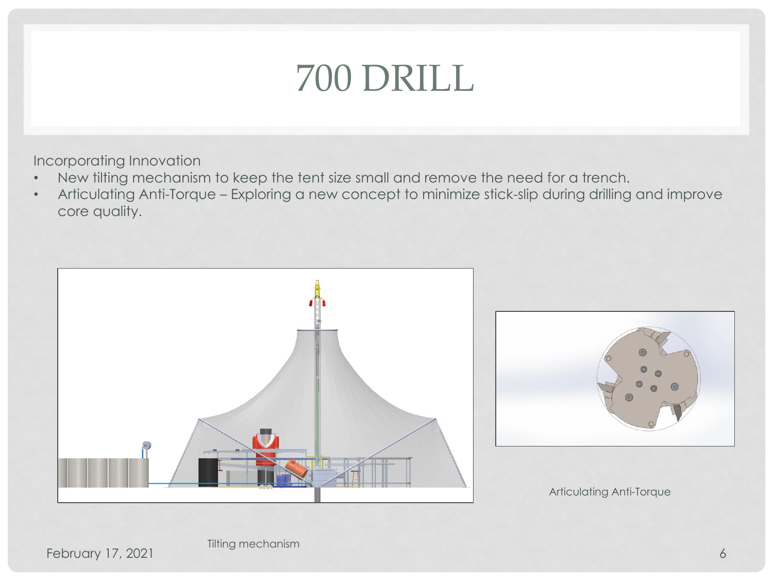## 700 DRILL

Incorporating Innovation

- New tilting mechanism to keep the tent size small and remove the need for a trench.
- Articulating Anti-Torque Exploring a new concept to minimize stick-slip during drilling and improve core quality.





Articulating Anti-Torque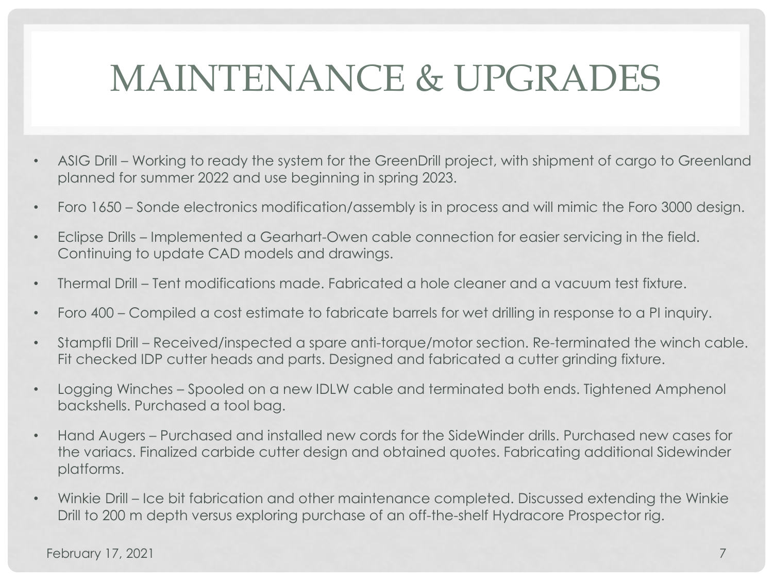## MAINTENANCE & UPGRADES

- ASIG Drill Working to ready the system for the GreenDrill project, with shipment of cargo to Greenland planned for summer 2022 and use beginning in spring 2023.
- Foro 1650 Sonde electronics modification/assembly is in process and will mimic the Foro 3000 design.
- Eclipse Drills Implemented a Gearhart-Owen cable connection for easier servicing in the field. Continuing to update CAD models and drawings.
- Thermal Drill Tent modifications made. Fabricated a hole cleaner and a vacuum test fixture.
- Foro 400 Compiled a cost estimate to fabricate barrels for wet drilling in response to a PI inquiry.
- Stampfli Drill Received/inspected a spare anti-torque/motor section. Re-terminated the winch cable. Fit checked IDP cutter heads and parts. Designed and fabricated a cutter grinding fixture.
- Logging Winches Spooled on a new IDLW cable and terminated both ends. Tightened Amphenol backshells. Purchased a tool bag.
- Hand Augers Purchased and installed new cords for the SideWinder drills. Purchased new cases for the variacs. Finalized carbide cutter design and obtained quotes. Fabricating additional Sidewinder platforms.
- Winkie Drill Ice bit fabrication and other maintenance completed. Discussed extending the Winkie Drill to 200 m depth versus exploring purchase of an off-the-shelf Hydracore Prospector rig.

February 17, 2021 **7** and 2011 **7** and 2012 **7** and 2012 **7** and 2012 **7** and 2012 **7** and 2012 **7** and 2012 **7** and 2012 **7** and 2012 **7** and 2012 **7** and 2012 **7** and 2012 **7** and 2012 **7** and 2012 **7** and 2012 **7** and 2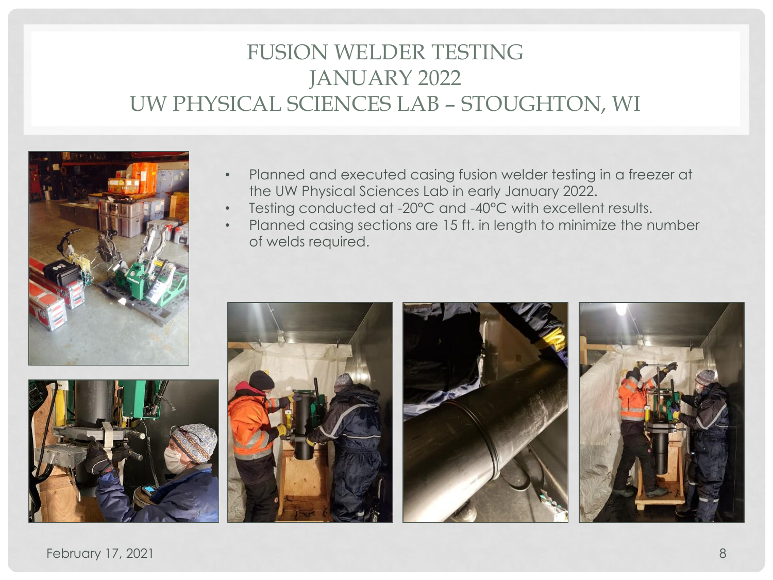### FUSION WELDER TESTING JANUARY 2022 UW PHYSICAL SCIENCES LAB – STOUGHTON, WI





- Planned and executed casing fusion welder testing in a freezer at the UW Physical Sciences Lab in early January 2022.
- Testing conducted at -20°C and -40°C with excellent results.
- Planned casing sections are 15 ft. in length to minimize the number of welds required.



February 17, 2021 8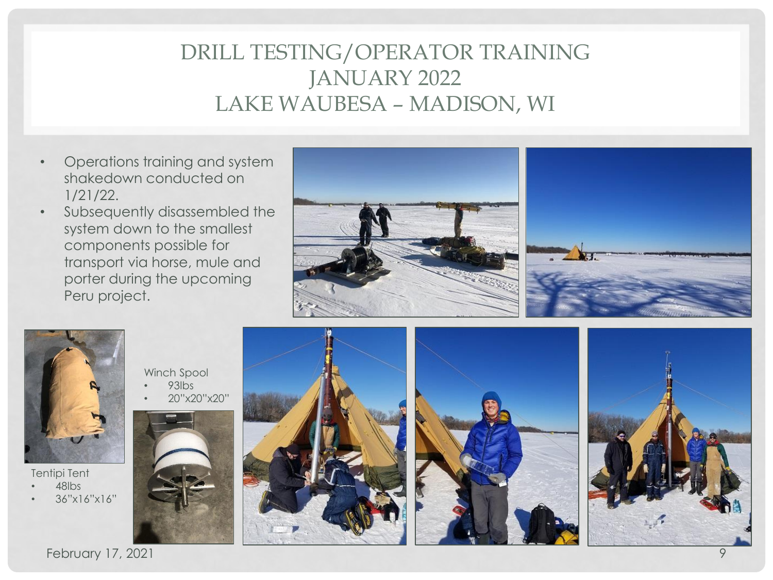### DRILL TESTING/OPERATOR TRAINING JANUARY 2022 LAKE WAUBESA – MADISON, WI

- Operations training and system shakedown conducted on 1/21/22.
- Subsequently disassembled the system down to the smallest components possible for transport via horse, mule and porter during the upcoming Peru project.





Tentipi Tent • 48lbs

• 36"x16"x16"











February 17, 2021